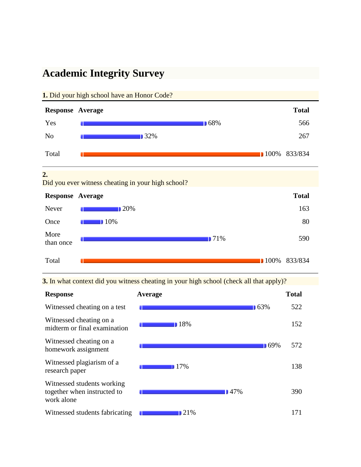# **Academic Integrity Survey**



**3.** In what context did you witness cheating in your high school (check all that apply)?

| <b>Response</b>                                                         | Average            | <b>Total</b> |
|-------------------------------------------------------------------------|--------------------|--------------|
| Witnessed cheating on a test                                            | 163%               | 522          |
| Witnessed cheating on a<br>midterm or final examination                 | ■ 18%              | 152          |
| Witnessed cheating on a<br>homework assignment                          |                    | 169%<br>572  |
| Witnessed plagiarism of a<br>research paper                             | $17\%$             | 138          |
| Witnessed students working<br>together when instructed to<br>work alone | $\blacksquare$ 47% | 390          |
| Witnessed students fabricating                                          | 121%               | 171          |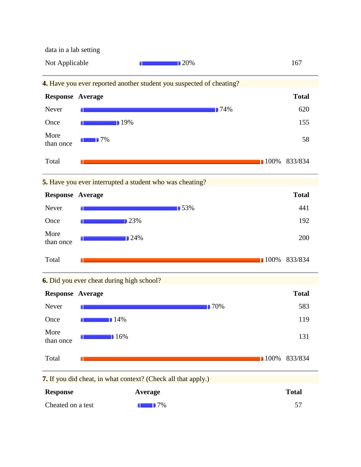data in a lab setting



**7.** If you did cheat, in what context? (Check all that apply.)

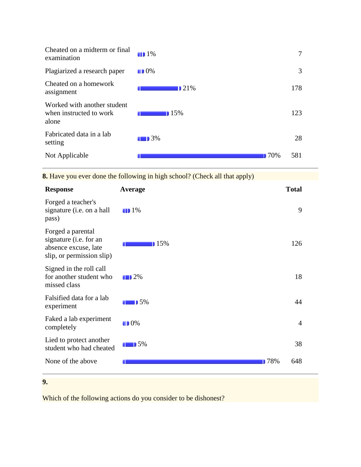| Cheated on a midterm or final<br>examination                    | $\blacksquare$ 1%  |      | 7   |
|-----------------------------------------------------------------|--------------------|------|-----|
| Plagiarized a research paper                                    | $\blacksquare$ 0%  |      | 3   |
| Cheated on a homework<br>assignment                             | $\blacksquare$ 21% |      | 178 |
| Worked with another student<br>when instructed to work<br>alone | $15\%$             |      | 123 |
| Fabricated data in a lab<br>setting                             | $\blacksquare$ 3%  |      | 28  |
| Not Applicable                                                  |                    | 170% | 581 |

**8.** Have you ever done the following in high school? (Check all that apply)

| <b>Response</b>                                                                                  | <b>Average</b>    |            | <b>Total</b>   |
|--------------------------------------------------------------------------------------------------|-------------------|------------|----------------|
| Forged a teacher's<br>signature (i.e. on a hall<br>pass)                                         | $\blacksquare$ 1% |            | 9              |
| Forged a parental<br>signature (i.e. for an<br>absence excuse, late<br>slip, or permission slip) | 15%               |            | 126            |
| Signed in the roll call<br>for another student who<br>missed class                               | $\blacksquare$ 2% |            | 18             |
| Falsified data for a lab<br>experiment                                                           | 15%               |            | 44             |
| Faked a lab experiment<br>completely                                                             | $\blacksquare$ 0% |            | $\overline{4}$ |
| Lied to protect another<br>student who had cheated                                               | $\blacksquare$ 5% |            | 38             |
| None of the above                                                                                |                   | <b>78%</b> | 648            |
| 9.                                                                                               |                   |            |                |

Which of the following actions do you consider to be dishonest?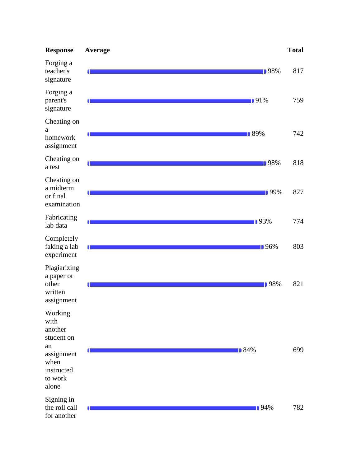| <b>Response</b>                                                                                        | Average |             | <b>Total</b> |
|--------------------------------------------------------------------------------------------------------|---------|-------------|--------------|
| Forging a<br>teacher's<br>signature                                                                    |         | <b>98%</b>  | 817          |
| Forging a<br>parent's<br>signature                                                                     | 0       | 191%        | 759          |
| Cheating on<br>a<br>homework<br>assignment                                                             |         | <b>89%</b>  | 742          |
| Cheating on<br>a test                                                                                  |         | <b>98%</b>  | 818          |
| Cheating on<br>a midterm<br>or final<br>examination                                                    |         | <b>199%</b> | 827          |
| Fabricating<br>lab data                                                                                |         | <b>193%</b> | 774          |
| Completely<br>faking a lab<br>experiment                                                               |         | ■ 96%       | 803          |
| Plagiarizing<br>a paper or<br>other<br>written<br>assignment                                           | 0       | ■98%        | 821          |
| Working<br>with<br>another<br>student on<br>an<br>assignment<br>when<br>instructed<br>to work<br>alone |         | ■ 84%       | 699          |
| Signing in<br>the roll call<br>for another                                                             |         | <b>194%</b> | 782          |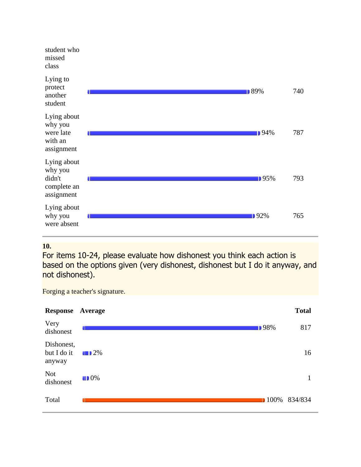| student who<br>missed<br>class                                |         |     |
|---------------------------------------------------------------|---------|-----|
| Lying to<br>protect<br>another<br>student                     | 189%    | 740 |
| Lying about<br>why you<br>were late<br>with an<br>assignment  | ■ 94%   | 787 |
| Lying about<br>why you<br>didn't<br>complete an<br>assignment | 195%    | 793 |
| Lying about<br>why you<br>were absent                         | $192\%$ | 765 |

# **10.**

For items 10-24, please evaluate how dishonest you think each action is based on the options given (very dishonest, dishonest but I do it anyway, and not dishonest).

Forging a teacher's signature.

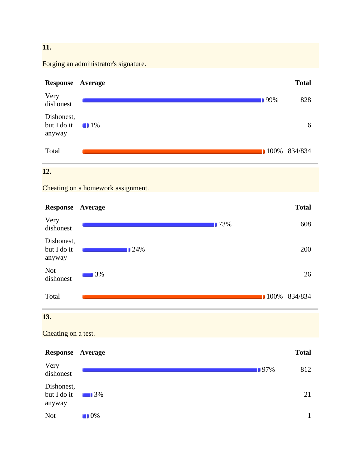#### **11.**

Forging an administrator's signature.



### **12.**

Cheating on a homework assignment.

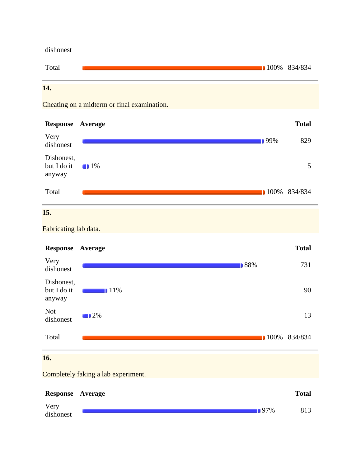dishonest



Cheating on a midterm or final examination.



# **15.**

Fabricating lab data.



Completely faking a lab experiment.

| <b>Response Average</b> |         | <b>Total</b> |
|-------------------------|---------|--------------|
| Very<br>dishonest       | $197\%$ | 813          |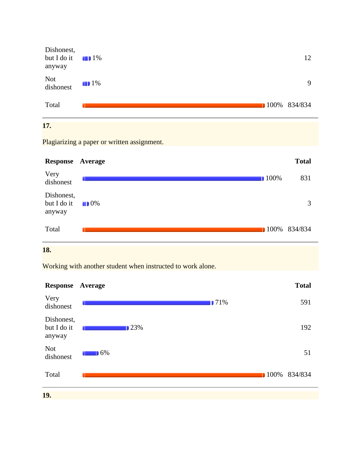| Dishonest,<br>but I do it $\Box$ 1%<br>anyway |                   | 12           |
|-----------------------------------------------|-------------------|--------------|
| Not<br>dishonest                              | $\blacksquare$ 1% | $\mathbf Q$  |
| Total                                         |                   | 100% 834/834 |
|                                               |                   |              |

#### **17.**

Plagiarizing a paper or written assignment.



# **18.**

Working with another student when instructed to work alone.

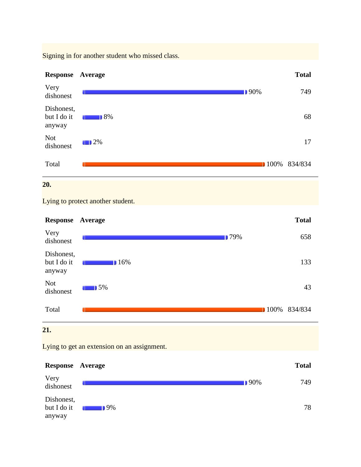Signing in for another student who missed class.



# **20.**

Lying to protect another student.



Lying to get an extension on an assignment.

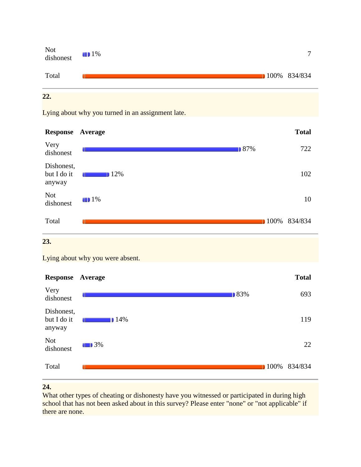

Lying about why you turned in an assignment late.



#### **23.**

Lying about why you were absent.



#### **24.**

What other types of cheating or dishonesty have you witnessed or participated in during high school that has not been asked about in this survey? Please enter "none" or "not applicable" if there are none.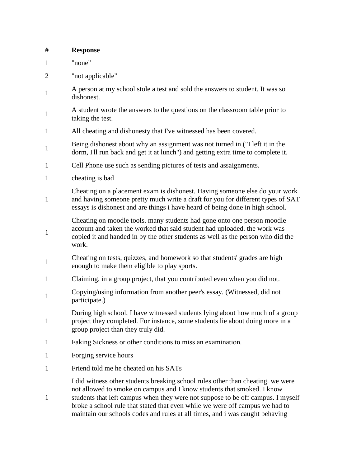| #              | <b>Response</b>                                                                                                                                                                                                                                                                                                                                                                                              |
|----------------|--------------------------------------------------------------------------------------------------------------------------------------------------------------------------------------------------------------------------------------------------------------------------------------------------------------------------------------------------------------------------------------------------------------|
| $\mathbf{1}$   | "none"                                                                                                                                                                                                                                                                                                                                                                                                       |
| $\overline{2}$ | "not applicable"                                                                                                                                                                                                                                                                                                                                                                                             |
| $\mathbf{1}$   | A person at my school stole a test and sold the answers to student. It was so<br>dishonest.                                                                                                                                                                                                                                                                                                                  |
| $\mathbf{1}$   | A student wrote the answers to the questions on the classroom table prior to<br>taking the test.                                                                                                                                                                                                                                                                                                             |
| $\mathbf{1}$   | All cheating and dishonesty that I've witnessed has been covered.                                                                                                                                                                                                                                                                                                                                            |
| $\mathbf{1}$   | Being dishonest about why an assignment was not turned in ("I left it in the<br>dorm, I'll run back and get it at lunch") and getting extra time to complete it.                                                                                                                                                                                                                                             |
| $\mathbf{1}$   | Cell Phone use such as sending pictures of tests and assaignments.                                                                                                                                                                                                                                                                                                                                           |
| $\mathbf{1}$   | cheating is bad                                                                                                                                                                                                                                                                                                                                                                                              |
| $\mathbf{1}$   | Cheating on a placement exam is dishonest. Having someone else do your work<br>and having someone pretty much write a draft for you for different types of SAT<br>essays is dishonest and are things i have heard of being done in high school.                                                                                                                                                              |
| $\mathbf{1}$   | Cheating on moodle tools. many students had gone onto one person moodle<br>account and taken the worked that said student had uploaded. the work was<br>copied it and handed in by the other students as well as the person who did the<br>work.                                                                                                                                                             |
| $\mathbf{1}$   | Cheating on tests, quizzes, and homework so that students' grades are high<br>enough to make them eligible to play sports.                                                                                                                                                                                                                                                                                   |
| $\mathbf{1}$   | Claiming, in a group project, that you contributed even when you did not.                                                                                                                                                                                                                                                                                                                                    |
| $\mathbf{1}$   | Copying/using information from another peer's essay. (Witnessed, did not<br>participate.)                                                                                                                                                                                                                                                                                                                    |
| $\mathbf{1}$   | During high school, I have witnessed students lying about how much of a group<br>project they completed. For instance, some students lie about doing more in a<br>group project than they truly did.                                                                                                                                                                                                         |
| $\mathbf{1}$   | Faking Sickness or other conditions to miss an examination.                                                                                                                                                                                                                                                                                                                                                  |
| $\mathbf{1}$   | Forging service hours                                                                                                                                                                                                                                                                                                                                                                                        |
| $\mathbf{1}$   | Friend told me he cheated on his SATs                                                                                                                                                                                                                                                                                                                                                                        |
| 1              | I did witness other students breaking school rules other than cheating, we were<br>not allowed to smoke on campus and I know students that smoked. I know<br>students that left campus when they were not suppose to be off campus. I myself<br>broke a school rule that stated that even while we were off campus we had to<br>maintain our schools codes and rules at all times, and i was caught behaving |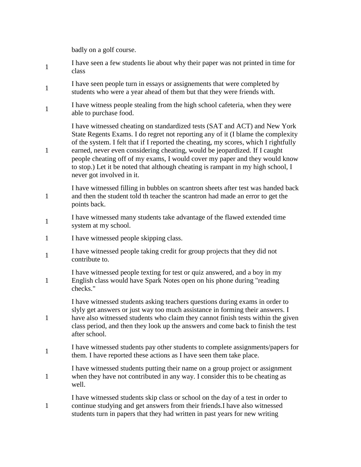badly on a golf course.

1

1

1

- 1 I have seen a few students lie about why their paper was not printed in time for class
- 1 I have seen people turn in essays or assignements that were completed by students who were a year ahead of them but that they were friends with.
- 1 I have witness people stealing from the high school cafeteria, when they were able to purchase food.

I have witnessed cheating on standardized tests (SAT and ACT) and New York State Regents Exams. I do regret not reporting any of it (I blame the complexity of the system. I felt that if I reported the cheating, my scores, which I rightfully earned, never even considering cheating, would be jeopardized. If I caught people cheating off of my exams, I would cover my paper and they would know to stop.) Let it be noted that although cheating is rampant in my high school, I never got involved in it.

- I have witnessed filling in bubbles on scantron sheets after test was handed back and then the student told th teacher the scantron had made an error to get the points back.
- 1 I have witnessed many students take advantage of the flawed extended time system at my school.
- 1 I have witnessed people skipping class.
- 1 I have witnessed people taking credit for group projects that they did not contribute to.
- 1 I have witnessed people texting for test or quiz answered, and a boy in my English class would have Spark Notes open on his phone during "reading checks."

I have witnessed students asking teachers questions during exams in order to slyly get answers or just way too much assistance in forming their answers. I have also witnessed students who claim they cannot finish tests within the given class period, and then they look up the answers and come back to finish the test after school.

- 1 I have witnessed students pay other students to complete assignments/papers for them. I have reported these actions as I have seen them take place.
- 1 I have witnessed students putting their name on a group project or assignment when they have not contributed in any way. I consider this to be cheating as well.
- 1 I have witnessed students skip class or school on the day of a test in order to continue studying and get answers from their friends.I have also witnessed students turn in papers that they had written in past years for new writing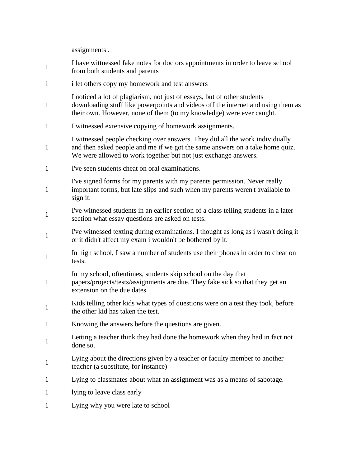assignments .

1 I have wittnessed fake notes for doctors appointments in order to leave school from both students and parents 1 i let others copy my homework and test answers 1 I noticed a lot of plagiarism, not just of essays, but of other students downloading stuff like powerpoints and videos off the internet and using them as their own. However, none of them (to my knowledge) were ever caught. 1 I witnessed extensive copying of homework assignments. 1 I witnessed people checking over answers. They did all the work individually and then asked people and me if we got the same answers on a take home quiz. We were allowed to work together but not just exchange answers. 1 I've seen students cheat on oral examinations. 1 I've signed forms for my parents with my parents permission. Never really important forms, but late slips and such when my parents weren't available to sign it. 1 I've witnessed students in an earlier section of a class telling students in a later section what essay questions are asked on tests. 1 I've witnessed texting during examinations. I thought as long as i wasn't doing it or it didn't affect my exam i wouldn't be bothered by it. 1 In high school, I saw a number of students use their phones in order to cheat on tests. 1 In my school, oftentimes, students skip school on the day that papers/projects/tests/assignments are due. They fake sick so that they get an extension on the due dates. 1 Kids telling other kids what types of questions were on a test they took, before the other kid has taken the test. 1 Knowing the answers before the questions are given. 1 Letting a teacher think they had done the homework when they had in fact not done so. 1 Lying about the directions given by a teacher or faculty member to another teacher (a substitute, for instance) 1 Lying to classmates about what an assignment was as a means of sabotage. 1 lying to leave class early 1 Lying why you were late to school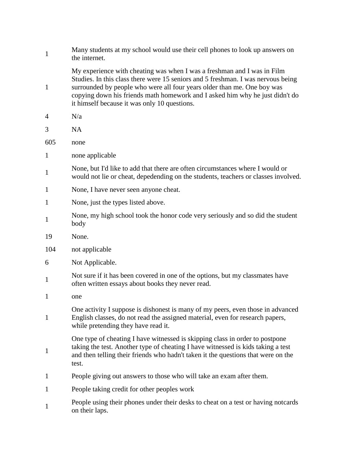| $\mathbf{1}$ | Many students at my school would use their cell phones to look up answers on<br>the internet.                                                                                                                                                                                                                                                                          |
|--------------|------------------------------------------------------------------------------------------------------------------------------------------------------------------------------------------------------------------------------------------------------------------------------------------------------------------------------------------------------------------------|
| $\mathbf{1}$ | My experience with cheating was when I was a freshman and I was in Film<br>Studies. In this class there were 15 seniors and 5 freshman. I was nervous being<br>surrounded by people who were all four years older than me. One boy was<br>copying down his friends math homework and I asked him why he just didn't do<br>it himself because it was only 10 questions. |
| 4            | N/a                                                                                                                                                                                                                                                                                                                                                                    |
| 3            | <b>NA</b>                                                                                                                                                                                                                                                                                                                                                              |
| 605          | none                                                                                                                                                                                                                                                                                                                                                                   |
| $\mathbf{1}$ | none applicable                                                                                                                                                                                                                                                                                                                                                        |
| $\mathbf{1}$ | None, but I'd like to add that there are often circumstances where I would or<br>would not lie or cheat, depedending on the students, teachers or classes involved.                                                                                                                                                                                                    |
| $\mathbf{1}$ | None, I have never seen anyone cheat.                                                                                                                                                                                                                                                                                                                                  |
| $\mathbf{1}$ | None, just the types listed above.                                                                                                                                                                                                                                                                                                                                     |
| $\mathbf{1}$ | None, my high school took the honor code very seriously and so did the student<br>body                                                                                                                                                                                                                                                                                 |
| 19           | None.                                                                                                                                                                                                                                                                                                                                                                  |
| 104          | not applicable                                                                                                                                                                                                                                                                                                                                                         |
| 6            | Not Applicable.                                                                                                                                                                                                                                                                                                                                                        |
| $\mathbf{1}$ | Not sure if it has been covered in one of the options, but my classmates have<br>often written essays about books they never read.                                                                                                                                                                                                                                     |
| 1            | one                                                                                                                                                                                                                                                                                                                                                                    |
| $\mathbf{1}$ | One activity I suppose is dishonest is many of my peers, even those in advanced<br>English classes, do not read the assigned material, even for research papers,<br>while pretending they have read it.                                                                                                                                                                |
| $\mathbf{1}$ | One type of cheating I have witnessed is skipping class in order to postpone<br>taking the test. Another type of cheating I have witnessed is kids taking a test<br>and then telling their friends who hadn't taken it the questions that were on the<br>test.                                                                                                         |
| 1            | People giving out answers to those who will take an exam after them.                                                                                                                                                                                                                                                                                                   |
| 1            | People taking credit for other peoples work                                                                                                                                                                                                                                                                                                                            |
| 1            | People using their phones under their desks to cheat on a test or having notcards<br>on their laps.                                                                                                                                                                                                                                                                    |
|              |                                                                                                                                                                                                                                                                                                                                                                        |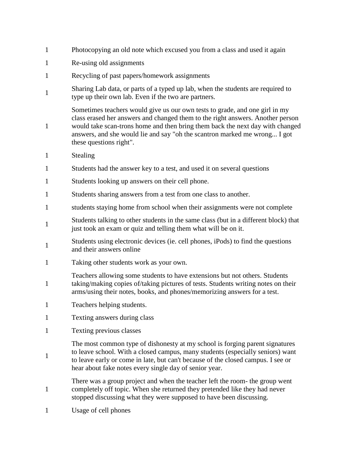- 1 Photocopying an old note which excused you from a class and used it again
- 1 Re-using old assignments
- 1 Recycling of past papers/homework assignments
- 1 Sharing Lab data, or parts of a typed up lab, when the students are required to type up their own lab. Even if the two are partners.

Sometimes teachers would give us our own tests to grade, and one girl in my class erased her answers and changed them to the right answers. Another person would take scan-trons home and then bring them back the next day with changed answers, and she would lie and say "oh the scantron marked me wrong... I got these questions right".

1 Stealing

1

1

- 1 Students had the answer key to a test, and used it on several questions
- 1 Students looking up answers on their cell phone.
- 1 Students sharing answers from a test from one class to another.
- 1 students staying home from school when their assignments were not complete
- 1 Students talking to other students in the same class (but in a different block) that just took an exam or quiz and telling them what will be on it.
- 1 Students using electronic devices (ie. cell phones, iPods) to find the questions and their answers online
- 1 Taking other students work as your own.

1 Teachers allowing some students to have extensions but not others. Students taking/making copies of/taking pictures of tests. Students writing notes on their arms/using their notes, books, and phones/memorizing answers for a test.

- 1 Teachers helping students.
- 1 Texting answers during class
- 1 Texting previous classes

The most common type of dishonesty at my school is forging parent signatures to leave school. With a closed campus, many students (especially seniors) want to leave early or come in late, but can't because of the closed campus. I see or hear about fake notes every single day of senior year.

- 1 There was a group project and when the teacher left the room- the group went completely off topic. When she returned they pretended like they had never stopped discussing what they were supposed to have been discussing.
- 1 Usage of cell phones